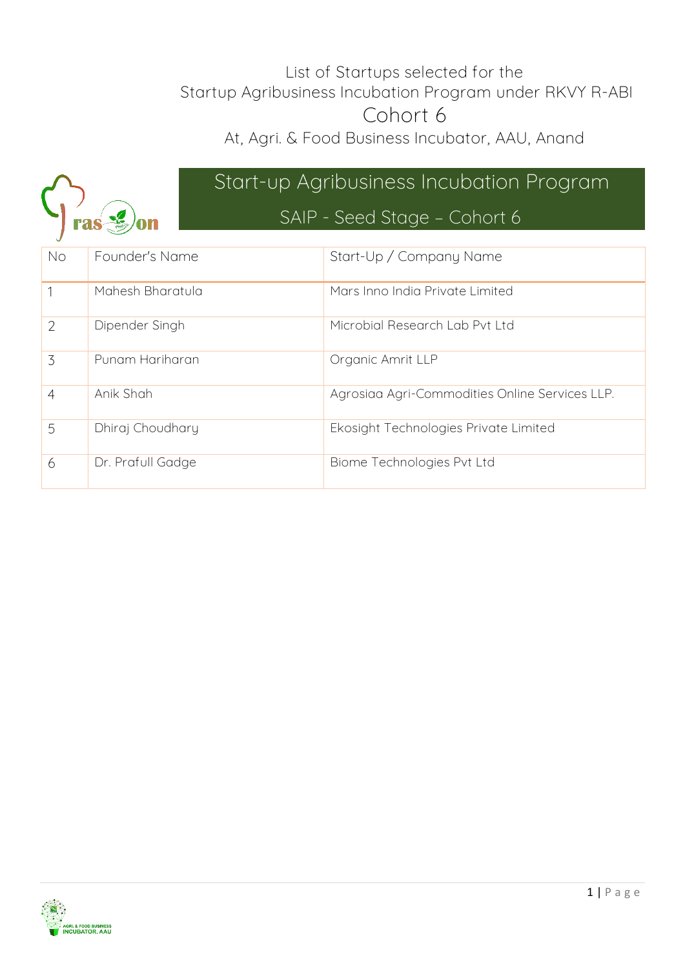#### List of Startups selected for the Startup Agribusiness Incubation Program under RKVY R-ABI Cohort 6

At, Agri. & Food Business Incubator, AAU, Anand



## **Start-up Agribusiness Incubation Program SAIP - Seed Stage – Cohort 6**

| <b>No</b>      | Founder's Name    | Start-Up / Company Name                        |
|----------------|-------------------|------------------------------------------------|
|                | Mahesh Bharatula  | Mars Inno India Private Limited                |
| $\overline{2}$ | Dipender Singh    | Microbial Research Lab Pvt Ltd                 |
| 3              | Punam Hariharan   | Organic Amrit LLP                              |
| 4              | Anik Shah         | Agrosiaa Agri-Commodities Online Services LLP. |
| 5              | Dhiraj Choudhary  | Ekosight Technologies Private Limited          |
| 6              | Dr. Prafull Gadge | Biome Technologies Pvt Ltd                     |